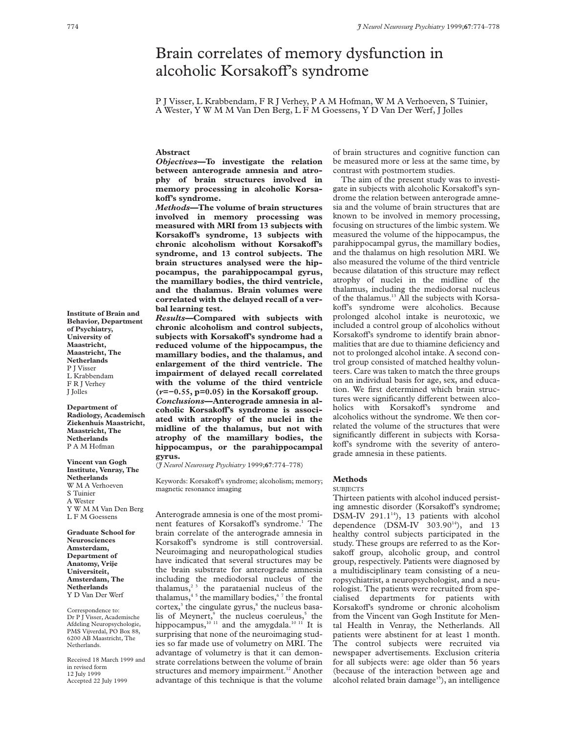# Brain correlates of memory dysfunction in alcoholic Korsakoff's syndrome

P J Visser, L Krabbendam, F R J Verhey, P A M Hofman, W M A Verhoeven, S Tuinier, A Wester, Y W M M Van Den Berg, L F M Goessens, Y D Van Der Werf, J Jolles

# **Abstract**

*Objectives***—To investigate the relation between anterograde amnesia and atrophy of brain structures involved in memory processing in alcoholic KorsakoV's syndrome.**

*Methods***—The volume of brain structures involved in memory processing was measured with MRI from 13 subjects with KorsakoV's syndrome, 13 subjects with chronic alcoholism without KorsakoV's syndrome, and 13 control subjects. The brain structures analysed were the hippocampus, the parahippocampal gyrus, the mamillary bodies, the third ventricle, and the thalamus. Brain volumes were correlated with the delayed recall of a verbal learning test.**

*Results***—Compared with subjects with chronic alcoholism and control subjects, subjects with KorsakoV's syndrome had a reduced volume of the hippocampus, the mamillary bodies, and the thalamus, and enlargement of the third ventricle. The impairment of delayed recall correlated with the volume of the third ventricle**  $(r=-0.55, p=0.05)$  in the Korsakoff group. *Conclusions***—Anterograde amnesia in al**coholic Korsakoff's syndrome is associ**ated with atrophy of the nuclei in the midline of the thalamus, but not with atrophy of the mamillary bodies, the hippocampus, or the parahippocampal gyrus.**

(*J Neurol Neurosurg Psychiatry* 1999;**67**:774–778)

Keywords: Korsakoff's syndrome; alcoholism; memory; magnetic resonance imaging

Anterograde amnesia is one of the most prominent features of Korsakoff's syndrome.<sup>1</sup> The brain correlate of the anterograde amnesia in Korsakoff's syndrome is still controversial. Neuroimaging and neuropathological studies have indicated that several structures may be the brain substrate for anterograde amnesia including the mediodorsal nucleus of the thalamus, $2^3$  the parataenial nucleus of the thalamus, $45$  the mamillary bodies, $67$  the frontal cortex,<sup>3</sup> the cingulate gyrus,<sup>8</sup> the nucleus basalis of Meynert, $9$  the nucleus coeruleus, $5$  the hippocampus, $10^{11}$  and the amygdala.<sup>10 11</sup> It is surprising that none of the neuroimaging studies so far made use of volumetry on MRI. The advantage of volumetry is that it can demonstrate correlations between the volume of brain structures and memory impairment.<sup>12</sup> Another advantage of this technique is that the volume

of brain structures and cognitive function can be measured more or less at the same time, by contrast with postmortem studies.

The aim of the present study was to investigate in subjects with alcoholic Korsakoff's syndrome the relation between anterograde amnesia and the volume of brain structures that are known to be involved in memory processing, focusing on structures of the limbic system. We measured the volume of the hippocampus, the parahippocampal gyrus, the mamillary bodies, and the thalamus on high resolution MRI. We also measured the volume of the third ventricle because dilatation of this structure may reflect atrophy of nuclei in the midline of the thalamus, including the mediodorsal nucleus of the thalamus.<sup>13</sup> All the subjects with Korsakoff's syndrome were alcoholics. Because prolonged alcohol intake is neurotoxic, we included a control group of alcoholics without Korsakoff's syndrome to identify brain abnormalities that are due to thiamine deficiency and not to prolonged alcohol intake. A second control group consisted of matched healthy volunteers. Care was taken to match the three groups on an individual basis for age, sex, and education. We first determined which brain structures were significantly different between alcoholics with Korsakoff's syndrome and alcoholics without the syndrome. We then correlated the volume of the structures that were significantly different in subjects with Korsakoff's syndrome with the severity of anterograde amnesia in these patients.

# **Methods**

# **SUBJECTS**

Thirteen patients with alcohol induced persisting amnestic disorder (Korsakoff's syndrome;  $DSM-IV$  291.1<sup>14</sup>), 13 patients with alcohol dependence  $(DSM-IV 303.90<sup>14</sup>)$ , and 13 healthy control subjects participated in the study. These groups are referred to as the Korsakoff group, alcoholic group, and control group, respectively. Patients were diagnosed by a multidisciplinary team consisting of a neuropsychiatrist, a neuropsychologist, and a neurologist. The patients were recruited from specialised departments for patients with Korsakoff's syndrome or chronic alcoholism from the Vincent van Gogh Institute for Mental Health in Venray, the Netherlands. All patients were abstinent for at least 1 month. The control subjects were recruited via newspaper advertisements. Exclusion criteria for all subjects were: age older than 56 years (because of the interaction between age and alcohol related brain damage<sup>15</sup>), an intelligence

**Institute of Brain and Behavior, Department of Psychiatry, University of Maastricht, Maastricht, The Netherlands** P J Visser L Krabbendam F R J Verhey J Jolles

**Department of Radiology, Academisch Ziekenhuis Maastricht, Maastricht, The Netherlands** P A M Hofman

**Vincent van Gogh Institute, Venray, The Netherlands** W<sub>MA</sub> Verhoeven S Tuinier A Wester Y W M M Van Den Berg L F M Goessens

**Graduate School for Neurosciences Amsterdam, Department of Anatomy, Vrije Universiteit, Amsterdam, The Netherlands** Y D Van Der Werf

Correspondence to: Dr P J Visser, Academische Afdeling Neuropsychologie, PMS Vijverdal, PO Box 88, 6200 AB Maastricht, The Netherlands.

Received 18 March 1999 and in revised form 12 July 1999 Accepted 22 July 1999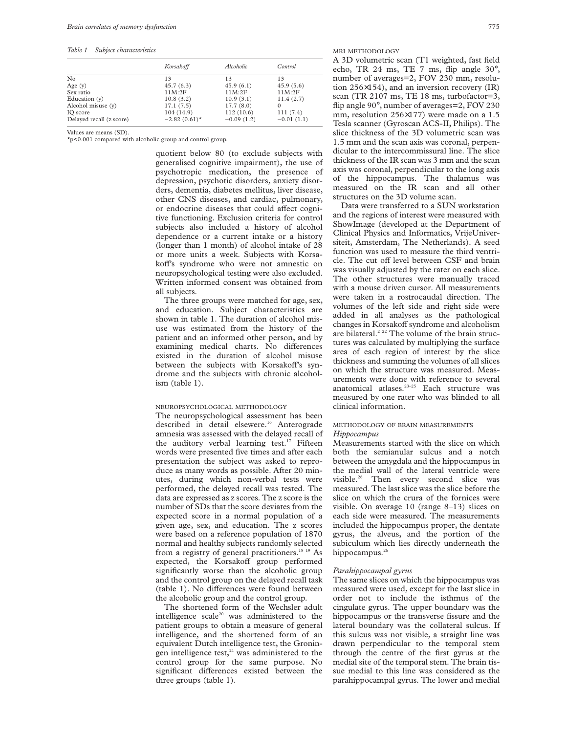*Table 1 Subject characteristics*

|                          | Korsakoff       | Alcoholic    | Control      |  |
|--------------------------|-----------------|--------------|--------------|--|
| $\rm No$                 | 13              | 13           | 13           |  |
| Age $(v)$                | 45.7(6.3)       | 45.9(6.1)    | 45.9(5.6)    |  |
| Sex ratio                | 11M:2F          | 11M:2F       | 11M:2F       |  |
| Education (y)            | 10.8(3.2)       | 10.9(3.1)    | 11.4(2.7)    |  |
| Alcohol misuse (y)       | 17.1(7.5)       | 17.7(8.0)    | $\Omega$     |  |
| IQ score                 | 104 (14.9)      | 112(10.6)    | 111(7.4)     |  |
| Delayed recall (z score) | $-2.82(0.61)$ * | $-0.09(1.2)$ | $-0.01(1.1)$ |  |

Values are means (SD).

\*p<0.001 compared with alcoholic group and control group.

quotient below 80 (to exclude subjects with generalised cognitive impairment), the use of psychotropic medication, the presence of depression, psychotic disorders, anxiety disorders, dementia, diabetes mellitus, liver disease, other CNS diseases, and cardiac, pulmonary, or endocrine diseases that could affect cognitive functioning. Exclusion criteria for control subjects also included a history of alcohol dependence or a current intake or a history (longer than 1 month) of alcohol intake of 28 or more units a week. Subjects with Korsakoff's syndrome who were not amnestic on neuropsychological testing were also excluded. Written informed consent was obtained from all subjects.

The three groups were matched for age, sex, and education. Subject characteristics are shown in table 1. The duration of alcohol misuse was estimated from the history of the patient and an informed other person, and by examining medical charts. No differences existed in the duration of alcohol misuse between the subjects with Korsakoff's syndrome and the subjects with chronic alcoholism (table 1).

#### NEUROPSYCHOLOGICAL METHODOLOGY

The neuropsychological assessment has been described in detail elsewere.<sup>16</sup> Anterograde amnesia was assessed with the delayed recall of the auditory verbal learning test.<sup>17</sup> Fifteen words were presented five times and after each presentation the subject was asked to reproduce as many words as possible. After 20 minutes, during which non-verbal tests were performed, the delayed recall was tested. The data are expressed as z scores. The z score is the number of SDs that the score deviates from the expected score in a normal population of a given age, sex, and education. The z scores were based on a reference population of 1870 normal and healthy subjects randomly selected from a registry of general practitioners.<sup>18 19</sup> As expected, the Korsakoff group performed significantly worse than the alcoholic group and the control group on the delayed recall task (table 1). No differences were found between the alcoholic group and the control group.

The shortened form of the Wechsler adult intelligence scale<sup>20</sup> was administered to the patient groups to obtain a measure of general intelligence, and the shortened form of an equivalent Dutch intelligence test, the Groningen intelligence test, $21$  was administered to the control group for the same purpose. No significant differences existed between the three groups (table 1).

MRI METHODOLOGY

A 3D volumetric scan (T1 weighted, fast field echo, TR 24 ms, TE 7 ms, flip angle 30°, number of averages=2, FOV 230 mm, resolution 256×154), and an inversion recovery (IR) scan (TR 2107 ms, TE 18 ms, turbofactor=3, flip angle 90°, number of averages=2, FOV 230 mm, resolution 256×177) were made on a 1.5 Tesla scanner (Gyroscan ACS-II, Philips). The slice thickness of the 3D volumetric scan was 1.5 mm and the scan axis was coronal, perpendicular to the intercommissural line. The slice thickness of the IR scan was 3 mm and the scan axis was coronal, perpendicular to the long axis of the hippocampus. The thalamus was measured on the IR scan and all other structures on the 3D volume scan.

Data were transferred to a SUN workstation and the regions of interest were measured with ShowImage (developed at the Department of Clinical Physics and Informatics, VrijeUniversiteit, Amsterdam, The Netherlands). A seed function was used to measure the third ventricle. The cut off level between CSF and brain was visually adjusted by the rater on each slice. The other structures were manually traced with a mouse driven cursor. All measurements were taken in a rostrocaudal direction. The volumes of the left side and right side were added in all analyses as the pathological changes in Korsakoff syndrome and alcoholism are bilateral.<sup>2 22</sup> The volume of the brain structures was calculated by multiplying the surface area of each region of interest by the slice thickness and summing the volumes of all slices on which the structure was measured. Measurements were done with reference to several anatomical atlases.23–25 Each structure was measured by one rater who was blinded to all clinical information.

#### METHODOLOGY OF BRAIN MEASUREMENTS *Hippocampus*

Measurements started with the slice on which both the semianular sulcus and a notch between the amygdala and the hippocampus in the medial wall of the lateral ventricle were visible.26 Then every second slice was measured. The last slice was the slice before the slice on which the crura of the fornices were visible. On average 10 (range 8–13) slices on each side were measured. The measurements included the hippocampus proper, the dentate gyrus, the alveus, and the portion of the subiculum which lies directly underneath the hippocampus. $26$ 

#### *Parahippocampal gyrus*

The same slices on which the hippocampus was measured were used, except for the last slice in order not to include the isthmus of the cingulate gyrus. The upper boundary was the hippocampus or the transverse fissure and the lateral boundary was the collateral sulcus. If this sulcus was not visible, a straight line was drawn perpendicular to the temporal stem through the centre of the first gyrus at the medial site of the temporal stem. The brain tissue medial to this line was considered as the parahippocampal gyrus. The lower and medial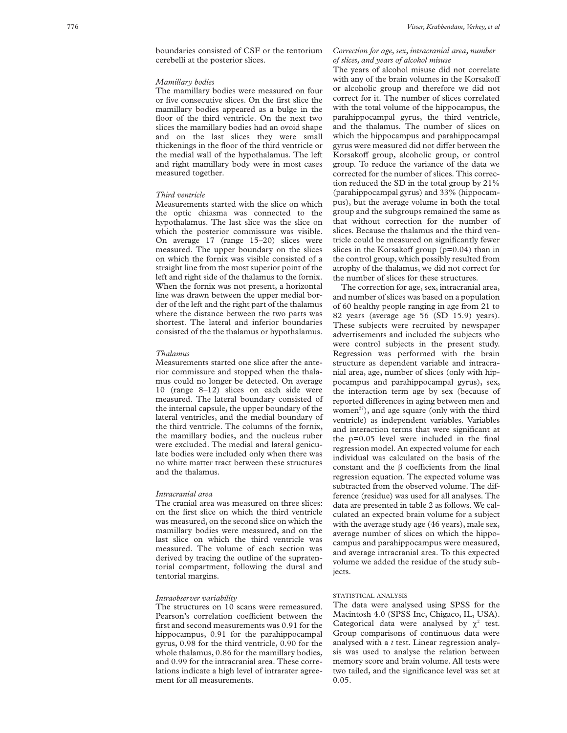# *Mamillary bodies*

The mamillary bodies were measured on four or five consecutive slices. On the first slice the mamillary bodies appeared as a bulge in the floor of the third ventricle. On the next two slices the mamillary bodies had an ovoid shape and on the last slices they were small thickenings in the floor of the third ventricle or the medial wall of the hypothalamus. The left and right mamillary body were in most cases measured together.

#### *Third ventricle*

Measurements started with the slice on which the optic chiasma was connected to the hypothalamus. The last slice was the slice on which the posterior commissure was visible. On average 17 (range 15–20) slices were measured. The upper boundary on the slices on which the fornix was visible consisted of a straight line from the most superior point of the left and right side of the thalamus to the fornix. When the fornix was not present, a horizontal line was drawn between the upper medial border of the left and the right part of the thalamus where the distance between the two parts was shortest. The lateral and inferior boundaries consisted of the the thalamus or hypothalamus.

#### *Thalamus*

Measurements started one slice after the anterior commissure and stopped when the thalamus could no longer be detected. On average 10 (range 8–12) slices on each side were measured. The lateral boundary consisted of the internal capsule, the upper boundary of the lateral ventricles, and the medial boundary of the third ventricle. The columns of the fornix, the mamillary bodies, and the nucleus ruber were excluded. The medial and lateral geniculate bodies were included only when there was no white matter tract between these structures and the thalamus.

# *Intracranial area*

The cranial area was measured on three slices: on the first slice on which the third ventricle was measured, on the second slice on which the mamillary bodies were measured, and on the last slice on which the third ventricle was measured. The volume of each section was derived by tracing the outline of the supratentorial compartment, following the dural and tentorial margins.

#### *Intraobserver variability*

The structures on 10 scans were remeasured. Pearson's correlation coefficient between the first and second measurements was 0.91 for the hippocampus, 0.91 for the parahippocampal gyrus, 0.98 for the third ventricle, 0.90 for the whole thalamus, 0.86 for the mamillary bodies, and 0.99 for the intracranial area. These correlations indicate a high level of intrarater agreement for all measurements.

# *Correction for age, sex, intracranial area, number of slices, and years of alcohol misuse*

The years of alcohol misuse did not correlate with any of the brain volumes in the Korsakoff or alcoholic group and therefore we did not correct for it. The number of slices correlated with the total volume of the hippocampus, the parahippocampal gyrus, the third ventricle, and the thalamus. The number of slices on which the hippocampus and parahippocampal gyrus were measured did not differ between the Korsakoff group, alcoholic group, or control group. To reduce the variance of the data we corrected for the number of slices. This correction reduced the SD in the total group by 21% (parahippocampal gyrus) and 33% (hippocampus), but the average volume in both the total group and the subgroups remained the same as that without correction for the number of slices. Because the thalamus and the third ventricle could be measured on significantly fewer slices in the Korsakoff group (p=0.04) than in the control group, which possibly resulted from atrophy of the thalamus, we did not correct for the number of slices for these structures.

The correction for age, sex, intracranial area, and number of slices was based on a population of 60 healthy people ranging in age from 21 to 82 years (average age 56 (SD 15.9) years). These subjects were recruited by newspaper advertisements and included the subjects who were control subjects in the present study. Regression was performed with the brain structure as dependent variable and intracranial area, age, number of slices (only with hippocampus and parahippocampal gyrus), sex, the interaction term age by sex (because of reported differences in aging between men and women<sup>27</sup>), and age square (only with the third ventricle) as independent variables. Variables and interaction terms that were significant at the p=0.05 level were included in the final regression model. An expected volume for each individual was calculated on the basis of the constant and the  $\beta$  coefficients from the final regression equation. The expected volume was subtracted from the observed volume. The difference (residue) was used for all analyses. The data are presented in table 2 as follows. We calculated an expected brain volume for a subject with the average study age (46 years), male sex, average number of slices on which the hippocampus and parahippocampus were measured, and average intracranial area. To this expected volume we added the residue of the study subjects.

# STATISTICAL ANALYSIS

The data were analysed using SPSS for the Macintosh 4.0 (SPSS Inc, Chigaco, IL, USA). Categorical data were analysed by  $\chi^2$  test. Group comparisons of continuous data were analysed with a *t* test. Linear regression analysis was used to analyse the relation between memory score and brain volume. All tests were two tailed, and the significance level was set at 0.05.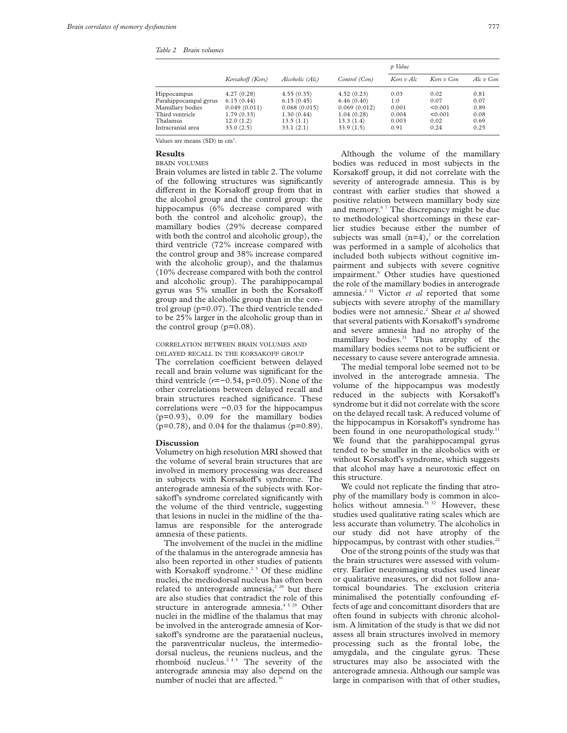*Table 2 Brain volumes*

|                       | Korsakoff (Kors) | Alcoholic (Alc) | Control (Con) | p Value       |            |           |
|-----------------------|------------------|-----------------|---------------|---------------|------------|-----------|
|                       |                  |                 |               | $K$ ors v Alc | Kors v Con | Alc v Con |
| Hippocampus           | 4.27(0.28)       | 4.55(0.35)      | 4.52(0.23)    | 0.03          | 0.02       | 0.81      |
| Parahippocampal gyrus | 6.15(0.44)       | 6.15(0.45)      | 6.46(0.40)    | 1.0           | 0.07       | 0.07      |
| Mamillary bodies      | 0.049(0.011)     | 0.068(0.015)    | 0.069(0.012)  | 0.001         | < 0.001    | 0.89      |
| Third ventricle       | 1.79(0.33)       | 1.30(0.44)      | 1.04(0.28)    | 0.004         | < 0.001    | 0.08      |
| Thalamus              | 12.0(1.2)        | 13.5(1.1)       | 13.3(1.4)     | 0.003         | 0.02       | 0.69      |
| Intracranial area     | 33.0(2.5)        | 33.1(2.1)       | 33.9(1.5)     | 0.91          | 0.24       | 0.25      |

Values are means (SD) in cm<sup>3</sup>.

# **Results**

BRAIN VOLUMES

Brain volumes are listed in table 2. The volume of the following structures was significantly different in the Korsakoff group from that in the alcohol group and the control group: the hippocampus (6% decrease compared with both the control and alcoholic group), the mamillary bodies (29% decrease compared with both the control and alcoholic group), the third ventricle (72% increase compared with the control group and 38% increase compared with the alcoholic group), and the thalamus (10% decrease compared with both the control and alcoholic group). The parahippocampal gyrus was  $5\%$  smaller in both the Korsakoff group and the alcoholic group than in the control group (p=0.07). The third ventricle tended to be 25% larger in the alcoholic group than in the control group  $(p=0.08)$ .

# CORRELATION BETWEEN BRAIN VOLUMES AND

DELAYED RECALL IN THE KORSAKOFF GROUP The correlation coefficient between delayed recall and brain volume was significant for the third ventricle (*r*=−0.54, p=0.05). None of the other correlations between delayed recall and brain structures reached significance. These correlations were −0.03 for the hippocampus (p=0.93), 0.09 for the mamillary bodies (p=0.78), and 0.04 for the thalamus (p=0.89).

# **Discussion**

Volumetry on high resolution MRI showed that the volume of several brain structures that are involved in memory processing was decreased in subjects with Korsakoff's syndrome. The anterograde amnesia of the subjects with Korsakoff's syndrome correlated significantly with the volume of the third ventricle, suggesting that lesions in nuclei in the midline of the thalamus are responsible for the anterograde amnesia of these patients.

The involvement of the nuclei in the midline of the thalamus in the anterograde amnesia has also been reported in other studies of patients with Korsakoff syndrome.<sup>2 3</sup> Of these midline nuclei, the mediodorsal nucleus has often been related to anterograde amnesia,<sup>2 28</sup> but there are also studies that contradict the role of this structure in anterograde amnesia.<sup>4 5 29</sup> Other nuclei in the midline of the thalamus that may be involved in the anterograde amnesia of Korsakoff's syndrome are the parataenial nucleus, the paraventricular nucleus, the intermediodorsal nucleus, the reuniens nucleus, and the rhomboid nucleus.<sup>245</sup> The severity of the anterograde amnesia may also depend on the number of nuclei that are affected.<sup>3</sup>

Although the volume of the mamillary bodies was reduced in most subjects in the Korsakoff group, it did not correlate with the severity of anterograde amnesia. This is by contrast with earlier studies that showed a positive relation between mamillary body size and memory.<sup>67</sup> The discrepancy might be due to methodological shortcomings in these earlier studies because either the number of subjects was small  $(n=4)$ ,<sup>7</sup> or the correlation was performed in a sample of alcoholics that included both subjects without cognitive impairment and subjects with severe cognitive impairment.<sup>6</sup> Other studies have questioned the role of the mamillary bodies in anterograde amnesia.2 31 Victor *et al* reported that some subjects with severe atrophy of the mamillary bodies were not amnesic.2 Shear *et al* showed that several patients with Korsakoff's syndrome and severe amnesia had no atrophy of the mamillary bodies. $31$  Thus atrophy of the mamillary bodies seems not to be sufficient or necessary to cause severe anterograde amnesia.

The medial temporal lobe seemed not to be involved in the anterograde amnesia. The volume of the hippocampus was modestly reduced in the subjects with Korsakoff's syndrome but it did not correlate with the score on the delayed recall task. A reduced volume of the hippocampus in Korsakoff's syndrome has been found in one neuropathological study.<sup>11</sup> We found that the parahippocampal gyrus tended to be smaller in the alcoholics with or without Korsakoff's syndrome, which suggests that alcohol may have a neurotoxic effect on this structure.

We could not replicate the finding that atrophy of the mamillary body is common in alcoholics without amnesia.<sup>31 32</sup> However, these studies used qualitative rating scales which are less accurate than volumetry. The alcoholics in our study did not have atrophy of the hippocampus, by contrast with other studies.<sup>22</sup>

One of the strong points of the study was that the brain structures were assessed with volumetry. Earlier neuroimaging studies used linear or qualitative measures, or did not follow anatomical boundaries. The exclusion criteria minimalised the potentially confounding effects of age and concomittant disorders that are often found in subjects with chronic alcoholism. A limitation of the study is that we did not assess all brain structures involved in memory processing such as the frontal lobe, the amygdala, and the cingulate gyrus. These structures may also be associated with the anterograde amnesia. Although our sample was large in comparison with that of other studies,